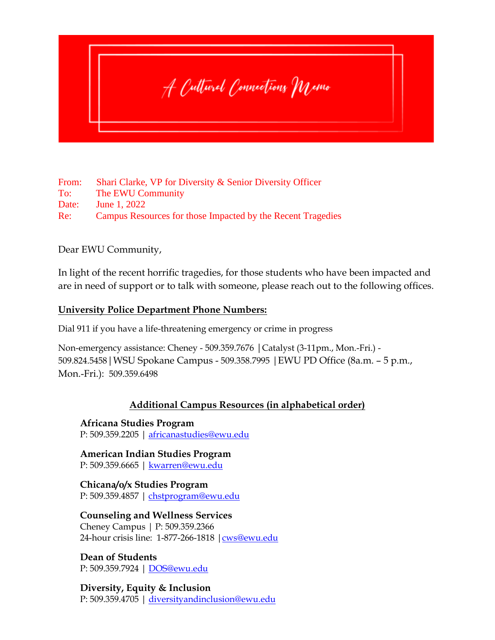

From: Shari Clarke, VP for Diversity & Senior Diversity Officer To: The EWU Community Date: June 1, 2022 Re: Campus Resources for those Impacted by the Recent Tragedies

Dear EWU Community,

In light of the recent horrific tragedies, for those students who have been impacted and are in need of support or to talk with someone, please reach out to the following offices.

## **University Police Department Phone Numbers:**

Dial 911 if you have a life-threatening emergency or crime in progress

Non-emergency assistance: Cheney - 509.359.7676 |Catalyst (3-11pm., Mon.-Fri.) - 509.824.5458|WSU Spokane Campus - 509.358.7995 |EWU PD Office (8a.m. – 5 p.m., Mon.-Fri.): 509.359.6498

## **Additional Campus Resources (in alphabetical order)**

**Africana Studies Program** P: 509.359.2205 | [africanastudies@ewu.edu](mailto:africanastudies@ewu.edu)

**American Indian Studies Program** P: 509.359.6665 | [kwarren@ewu.edu](mailto:kwarren@ewu.edu)

**Chicana/o/x Studies Program** P: 509.359.4857 | [chstprogram@ewu.edu](mailto:chstprogram@ewu.edu)

**Counseling and Wellness Services** Cheney Campus | P: 509.359.2366 24-hour crisis line: 1-877-266-1818 [|cws@ewu.edu](mailto:cws@ewu.edu)

**Dean of Students** P: 509.359.7924 | [DOS@ewu.edu](mailto:DOS@ewu.edu)

**Diversity, Equity & Inclusion** P: 509.359.4705 | [diversityandinclusion@ewu.edu](mailto:diversityandinclusion@ewu.edu)